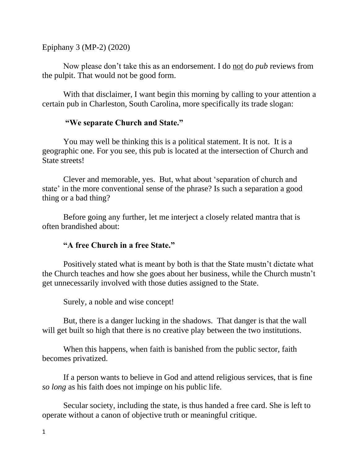Epiphany 3 (MP-2) (2020)

Now please don't take this as an endorsement. I do not do *pub* reviews from the pulpit. That would not be good form.

With that disclaimer, I want begin this morning by calling to your attention a certain pub in Charleston, South Carolina, more specifically its trade slogan:

#### **"We separate Church and State."**

You may well be thinking this is a political statement. It is not. It is a geographic one. For you see, this pub is located at the intersection of Church and State streets!

Clever and memorable, yes. But, what about 'separation of church and state' in the more conventional sense of the phrase? Is such a separation a good thing or a bad thing?

Before going any further, let me interject a closely related mantra that is often brandished about:

## **"A free Church in a free State."**

Positively stated what is meant by both is that the State mustn't dictate what the Church teaches and how she goes about her business, while the Church mustn't get unnecessarily involved with those duties assigned to the State.

Surely, a noble and wise concept!

But, there is a danger lucking in the shadows. That danger is that the wall will get built so high that there is no creative play between the two institutions.

When this happens, when faith is banished from the public sector, faith becomes privatized.

If a person wants to believe in God and attend religious services, that is fine *so long* as his faith does not impinge on his public life.

Secular society, including the state, is thus handed a free card. She is left to operate without a canon of objective truth or meaningful critique.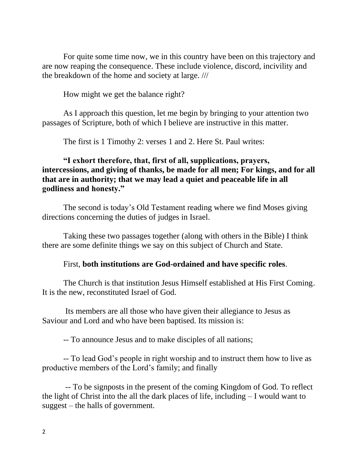For quite some time now, we in this country have been on this trajectory and are now reaping the consequence. These include violence, discord, incivility and the breakdown of the home and society at large. ///

How might we get the balance right?

As I approach this question, let me begin by bringing to your attention two passages of Scripture, both of which I believe are instructive in this matter.

The first is 1 Timothy 2: verses 1 and 2. Here St. Paul writes:

## **"I exhort therefore, that, first of all, supplications, prayers, intercessions, and giving of thanks, be made for all men; For kings, and for all that are in authority; that we may lead a quiet and peaceable life in all godliness and honesty."**

The second is today's Old Testament reading where we find Moses giving directions concerning the duties of judges in Israel.

Taking these two passages together (along with others in the Bible) I think there are some definite things we say on this subject of Church and State.

#### First, **both institutions are God-ordained and have specific roles**.

The Church is that institution Jesus Himself established at His First Coming. It is the new, reconstituted Israel of God.

Its members are all those who have given their allegiance to Jesus as Saviour and Lord and who have been baptised. Its mission is:

-- To announce Jesus and to make disciples of all nations;

-- To lead God's people in right worship and to instruct them how to live as productive members of the Lord's family; and finally

-- To be signposts in the present of the coming Kingdom of God. To reflect the light of Christ into the all the dark places of life, including – I would want to suggest – the halls of government.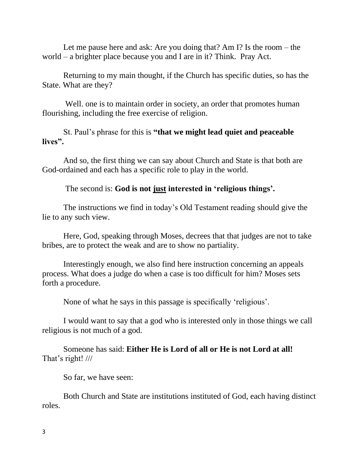Let me pause here and ask: Are you doing that? Am I? Is the room – the world – a brighter place because you and I are in it? Think. Pray Act.

Returning to my main thought, if the Church has specific duties, so has the State. What are they?

Well. one is to maintain order in society, an order that promotes human flourishing, including the free exercise of religion.

St. Paul's phrase for this is **"that we might lead quiet and peaceable lives".**

And so, the first thing we can say about Church and State is that both are God-ordained and each has a specific role to play in the world.

The second is: **God is not just interested in 'religious things'.** 

The instructions we find in today's Old Testament reading should give the lie to any such view.

Here, God, speaking through Moses, decrees that that judges are not to take bribes, are to protect the weak and are to show no partiality.

Interestingly enough, we also find here instruction concerning an appeals process. What does a judge do when a case is too difficult for him? Moses sets forth a procedure.

None of what he says in this passage is specifically 'religious'.

I would want to say that a god who is interested only in those things we call religious is not much of a god.

Someone has said: **Either He is Lord of all or He is not Lord at all!** That's right! ///

So far, we have seen:

Both Church and State are institutions instituted of God, each having distinct roles.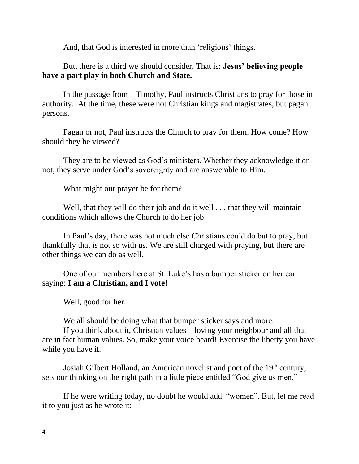And, that God is interested in more than 'religious' things.

# But, there is a third we should consider. That is: **Jesus' believing people have a part play in both Church and State.**

In the passage from 1 Timothy, Paul instructs Christians to pray for those in authority. At the time, these were not Christian kings and magistrates, but pagan persons.

Pagan or not, Paul instructs the Church to pray for them. How come? How should they be viewed?

They are to be viewed as God's ministers. Whether they acknowledge it or not, they serve under God's sovereignty and are answerable to Him.

What might our prayer be for them?

Well, that they will do their job and do it well . . . that they will maintain conditions which allows the Church to do her job.

In Paul's day, there was not much else Christians could do but to pray, but thankfully that is not so with us. We are still charged with praying, but there are other things we can do as well.

One of our members here at St. Luke's has a bumper sticker on her car saying: **I am a Christian, and I vote!**

Well, good for her.

We all should be doing what that bumper sticker says and more.

If you think about it, Christian values – loving your neighbour and all that – are in fact human values. So, make your voice heard! Exercise the liberty you have while you have it.

Josiah Gilbert Holland, an American novelist and poet of the 19<sup>th</sup> century, sets our thinking on the right path in a little piece entitled "God give us men."

If he were writing today, no doubt he would add "women". But, let me read it to you just as he wrote it: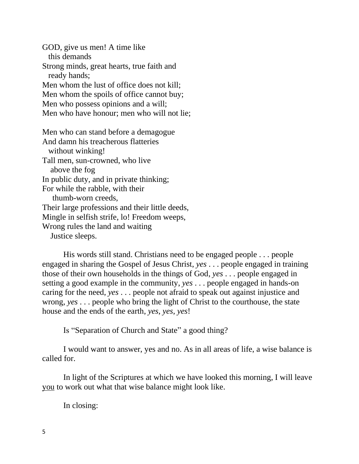GOD, give us men! A time like this demands Strong minds, great hearts, true faith and ready hands; Men whom the lust of office does not kill; Men whom the spoils of office cannot buy; Men who possess opinions and a will; Men who have honour; men who will not lie;

Men who can stand before a demagogue And damn his treacherous flatteries without winking! Tall men, sun-crowned, who live above the fog In public duty, and in private thinking; For while the rabble, with their thumb-worn creeds, Their large professions and their little deeds, Mingle in selfish strife, lo! Freedom weeps, Wrong rules the land and waiting Justice sleeps.

His words still stand. Christians need to be engaged people . . . people engaged in sharing the Gospel of Jesus Christ, *yes* . . . people engaged in training those of their own households in the things of God, *yes* . . . people engaged in setting a good example in the community, *yes* . . . people engaged in hands-on caring for the need, *yes* . . . people not afraid to speak out against injustice and wrong, *yes* . . . people who bring the light of Christ to the courthouse, the state house and the ends of the earth, *yes*, *yes*, *yes*!

Is "Separation of Church and State" a good thing?

I would want to answer, yes and no. As in all areas of life, a wise balance is called for.

In light of the Scriptures at which we have looked this morning, I will leave you to work out what that wise balance might look like.

In closing: